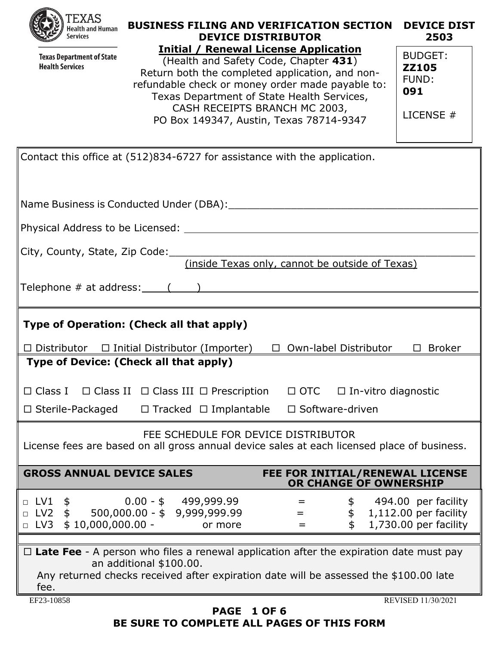**Texas Department of State Health Services** 

#### **BUSINESS FILING AND VERIFICATION SECTION DEVICE DIST DEVICE DISTRIBUTOR Initial / Renewal License Application 2503**

|   | Initial / Renewal License Application            |                                |
|---|--------------------------------------------------|--------------------------------|
| ë | (Health and Safety Code, Chapter 431)            | <b>BUDGET:</b><br><b>ZZ105</b> |
|   | Return both the completed application, and non-  | FUND:                          |
|   | refundable check or money order made payable to: | 091                            |
|   | Texas Department of State Health Services,       |                                |
|   | CASH RECEIPTS BRANCH MC 2003,                    | LICENSE #                      |
|   | PO Box 149347, Austin, Texas 78714-9347          |                                |
|   |                                                  |                                |

| Contact this office at (512)834-6727 for assistance with the application.                                                                                                                                                                                                        |  |  |  |
|----------------------------------------------------------------------------------------------------------------------------------------------------------------------------------------------------------------------------------------------------------------------------------|--|--|--|
|                                                                                                                                                                                                                                                                                  |  |  |  |
|                                                                                                                                                                                                                                                                                  |  |  |  |
|                                                                                                                                                                                                                                                                                  |  |  |  |
| City, County, State, Zip Code:<br>(inside Texas only, cannot be outside of Texas)                                                                                                                                                                                                |  |  |  |
|                                                                                                                                                                                                                                                                                  |  |  |  |
| Type of Operation: (Check all that apply)                                                                                                                                                                                                                                        |  |  |  |
| $\Box$ Distributor $\Box$ Initial Distributor (Importer) $\Box$ Own-label Distributor<br>$\square$ Broker                                                                                                                                                                        |  |  |  |
| Type of Device: (Check all that apply)                                                                                                                                                                                                                                           |  |  |  |
| □ Class I □ Class II □ Class III □ Prescription □ OTC □ In-vitro diagnostic                                                                                                                                                                                                      |  |  |  |
| $\Box$ Sterile-Packaged $\Box$ Tracked $\Box$ Implantable $\Box$ Software-driven                                                                                                                                                                                                 |  |  |  |
| FEE SCHEDULE FOR DEVICE DISTRIBUTOR<br>License fees are based on all gross annual device sales at each licensed place of business.                                                                                                                                               |  |  |  |
| <b>GROSS ANNUAL DEVICE SALES</b><br>FEE FOR INITIAL/RENEWAL LICENSE<br>OR CHANGE OF OWNERSHIP                                                                                                                                                                                    |  |  |  |
| $0.00 - $ 499,999.99$<br>$\Box$ LV1 \$<br>\$ 494.00 per facility<br>$\qquad \qquad =\qquad \qquad$<br>$\Box$ LV2 \$<br>500,000.00 - \$9,999,999.99<br>$$1,112.00$ per facility<br>$\equiv$ 1000 $\pm$<br>$\Box$ LV3 \$ 10,000,000.00 -<br>1,730.00 per facility<br>\$<br>or more |  |  |  |
| $\Box$ Late Fee - A person who files a renewal application after the expiration date must pay                                                                                                                                                                                    |  |  |  |
| an additional \$100.00.<br>Any returned checks received after expiration date will be assessed the \$100.00 late<br>fee.                                                                                                                                                         |  |  |  |
| EF23-10858<br>REVISED 11/30/2021                                                                                                                                                                                                                                                 |  |  |  |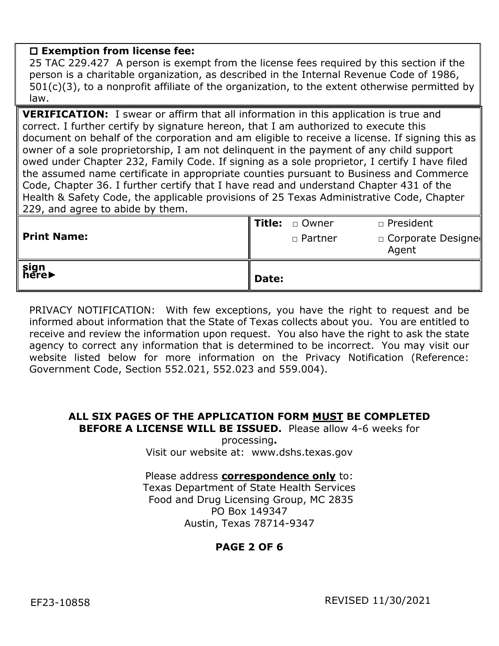## **Exemption from license fee:**

25 TAC 229.427 A person is exempt from the license fees required by this section if the person is a charitable organization, as described in the Internal Revenue Code of 1986, 501(c)(3), to a nonprofit affiliate of the organization, to the extent otherwise permitted by law.

**VERIFICATION:** I swear or affirm that all information in this application is true and correct. I further certify by signature hereon, that I am authorized to execute this document on behalf of the corporation and am eligible to receive a license. If signing this as owner of a sole proprietorship, I am not delinquent in the payment of any child support owed under Chapter 232, Family Code. If signing as a sole proprietor, I certify I have filed the assumed name certificate in appropriate counties pursuant to Business and Commerce Code, Chapter 36. I further certify that I have read and understand Chapter 431 of the Health & Safety Code, the applicable provisions of 25 Texas Administrative Code, Chapter 229, and agree to abide by them.

| sign<br>here▶      | Date: |                  |                                   |
|--------------------|-------|------------------|-----------------------------------|
| <b>Print Name:</b> |       | □ Partner        | $\Box$ Corporate Designe<br>Agent |
|                    |       | I Title: a Owner | n President                       |

PRIVACY NOTIFICATION: With few exceptions, you have the right to request and be informed about information that the State of Texas collects about you. You are entitled to receive and review the information upon request. You also have the right to ask the state agency to correct any information that is determined to be incorrect. You may visit our website listed below for more information on the Privacy Notification (Reference: Government Code, Section 552.021, 552.023 and 559.004).

### **ALL SIX PAGES OF THE APPLICATION FORM MUST BE COMPLETED BEFORE A LICENSE WILL BE ISSUED.** Please allow 4-6 weeks for

processing**.**  Visit our website at: www.dshs.texas.gov

Please address **correspondence only** to: Texas Department of State Health Services Food and Drug Licensing Group, MC 2835 PO Box 149347 Austin, Texas 78714-9347

# **PAGE 2 OF 6**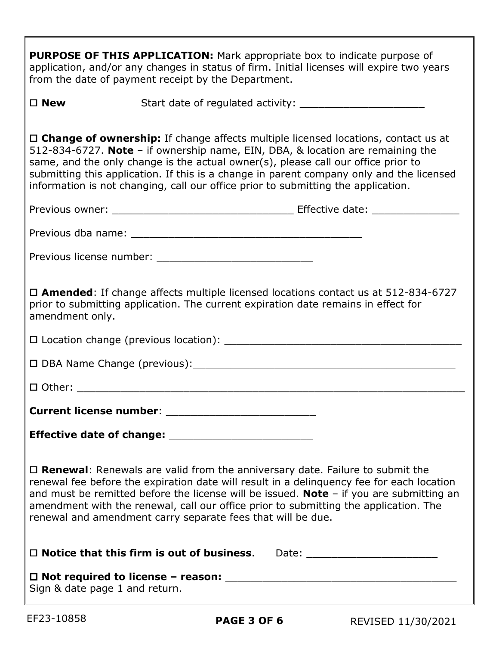| <b>PURPOSE OF THIS APPLICATION:</b> Mark appropriate box to indicate purpose of<br>application, and/or any changes in status of firm. Initial licenses will expire two years<br>from the date of payment receipt by the Department.                                                                                                                                                                                                              |  |  |  |
|--------------------------------------------------------------------------------------------------------------------------------------------------------------------------------------------------------------------------------------------------------------------------------------------------------------------------------------------------------------------------------------------------------------------------------------------------|--|--|--|
| $\square$ New                                                                                                                                                                                                                                                                                                                                                                                                                                    |  |  |  |
| $\Box$ Change of ownership: If change affects multiple licensed locations, contact us at<br>512-834-6727. Note - if ownership name, EIN, DBA, & location are remaining the<br>same, and the only change is the actual owner(s), please call our office prior to<br>submitting this application. If this is a change in parent company only and the licensed<br>information is not changing, call our office prior to submitting the application. |  |  |  |
|                                                                                                                                                                                                                                                                                                                                                                                                                                                  |  |  |  |
|                                                                                                                                                                                                                                                                                                                                                                                                                                                  |  |  |  |
|                                                                                                                                                                                                                                                                                                                                                                                                                                                  |  |  |  |
| $\Box$ <b>Amended</b> : If change affects multiple licensed locations contact us at 512-834-6727<br>prior to submitting application. The current expiration date remains in effect for<br>amendment only.                                                                                                                                                                                                                                        |  |  |  |
|                                                                                                                                                                                                                                                                                                                                                                                                                                                  |  |  |  |
|                                                                                                                                                                                                                                                                                                                                                                                                                                                  |  |  |  |
|                                                                                                                                                                                                                                                                                                                                                                                                                                                  |  |  |  |
|                                                                                                                                                                                                                                                                                                                                                                                                                                                  |  |  |  |
|                                                                                                                                                                                                                                                                                                                                                                                                                                                  |  |  |  |
| $\Box$ <b>Renewal:</b> Renewals are valid from the anniversary date. Failure to submit the<br>renewal fee before the expiration date will result in a delinquency fee for each location<br>and must be remitted before the license will be issued. Note $-$ if you are submitting an<br>amendment with the renewal, call our office prior to submitting the application. The<br>renewal and amendment carry separate fees that will be due.      |  |  |  |
| $\Box$ Notice that this firm is out of business.                                                                                                                                                                                                                                                                                                                                                                                                 |  |  |  |
| Sign & date page 1 and return.                                                                                                                                                                                                                                                                                                                                                                                                                   |  |  |  |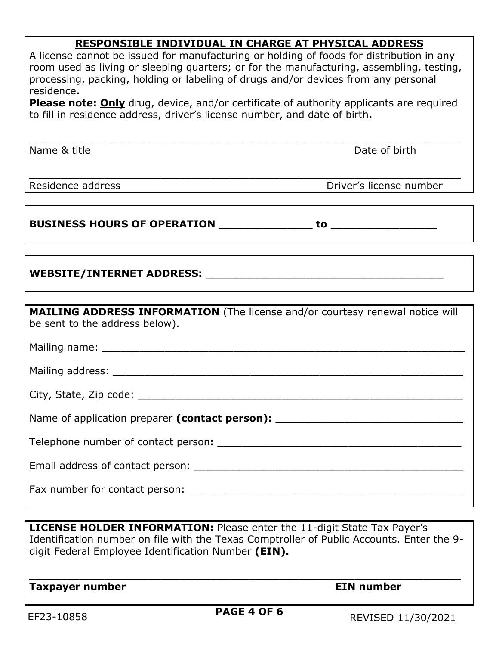# **RESPONSIBLE INDIVIDUAL IN CHARGE AT PHYSICAL ADDRESS**

| A license cannot be issued for manufacturing or holding of foods for distribution in any<br>room used as living or sleeping quarters; or for the manufacturing, assembling, testing,<br>processing, packing, holding or labeling of drugs and/or devices from any personal<br>residence.<br>Please note: Only drug, device, and/or certificate of authority applicants are required<br>to fill in residence address, driver's license number, and date of birth. |                         |  |  |
|------------------------------------------------------------------------------------------------------------------------------------------------------------------------------------------------------------------------------------------------------------------------------------------------------------------------------------------------------------------------------------------------------------------------------------------------------------------|-------------------------|--|--|
| Name & title                                                                                                                                                                                                                                                                                                                                                                                                                                                     | Date of birth           |  |  |
| Residence address                                                                                                                                                                                                                                                                                                                                                                                                                                                | Driver's license number |  |  |
|                                                                                                                                                                                                                                                                                                                                                                                                                                                                  |                         |  |  |
|                                                                                                                                                                                                                                                                                                                                                                                                                                                                  |                         |  |  |
| <b>MAILING ADDRESS INFORMATION</b> (The license and/or courtesy renewal notice will<br>be sent to the address below).                                                                                                                                                                                                                                                                                                                                            |                         |  |  |
|                                                                                                                                                                                                                                                                                                                                                                                                                                                                  |                         |  |  |
| Mailing address: National Action of the Contract of the Contract of the Contract of the Contract of the Contract of the Contract of the Contract of the Contract of the Contract of the Contract of the Contract of the Contra                                                                                                                                                                                                                                   |                         |  |  |
|                                                                                                                                                                                                                                                                                                                                                                                                                                                                  |                         |  |  |
| Name of application preparer (contact person): _________________________________                                                                                                                                                                                                                                                                                                                                                                                 |                         |  |  |
|                                                                                                                                                                                                                                                                                                                                                                                                                                                                  |                         |  |  |
|                                                                                                                                                                                                                                                                                                                                                                                                                                                                  |                         |  |  |
|                                                                                                                                                                                                                                                                                                                                                                                                                                                                  |                         |  |  |

**LICENSE HOLDER INFORMATION:** Please enter the 11-digit State Tax Payer's Identification number on file with the Texas Comptroller of Public Accounts. Enter the 9 digit Federal Employee Identification Number **(EIN).**

\_\_\_\_\_\_\_\_\_\_\_\_\_\_\_\_\_\_\_\_\_\_\_\_\_\_\_\_\_\_\_\_\_\_\_\_\_\_\_\_\_\_\_\_\_\_\_\_\_\_\_\_\_\_\_\_\_\_\_\_\_\_\_\_\_\_\_\_\_

**Taxpayer number Community Community Community Community Community Community Community Community Community Community**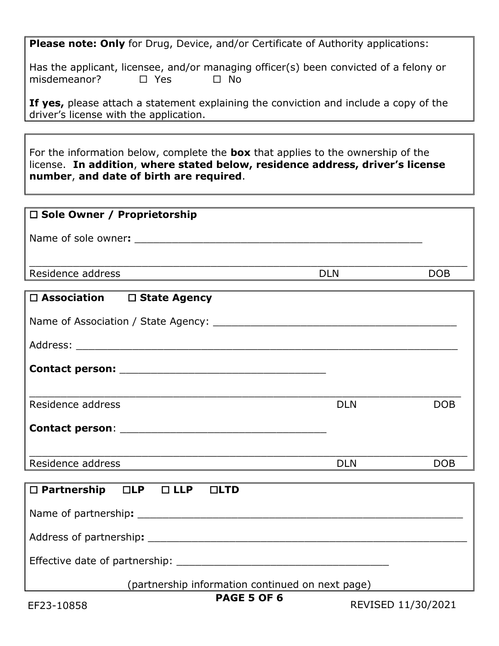**Please note: Only** for Drug, Device, and/or Certificate of Authority applications:

Has the applicant, licensee, and/or managing officer(s) been convicted of a felony or misdemeanor?  $\square$  Yes  $\square$  No

**If yes,** please attach a statement explaining the conviction and include a copy of the driver's license with the application.

For the information below, complete the **box** that applies to the ownership of the license. **In addition**, **where stated below, residence address, driver's license number**, **and date of birth are required**.

| $\Box$ Sole Owner / Proprietorship |            |            |
|------------------------------------|------------|------------|
| Name of sole owner:                |            |            |
| Residence address                  | <b>DLN</b> | <b>DOB</b> |
|                                    |            |            |

| $\Box$ Association $\Box$ State Agency |            |            |
|----------------------------------------|------------|------------|
|                                        |            |            |
|                                        |            |            |
|                                        |            |            |
|                                        |            |            |
| Residence address                      | <b>DLN</b> | <b>DOB</b> |
|                                        |            |            |
|                                        |            |            |
|                                        | <b>DLN</b> | DOB        |
|                                        |            |            |
| □ Partnership □LP □ LLP □LTD           |            |            |
|                                        |            |            |
|                                        |            |            |
|                                        |            |            |
|                                        |            |            |

(partnership information continued on next page)